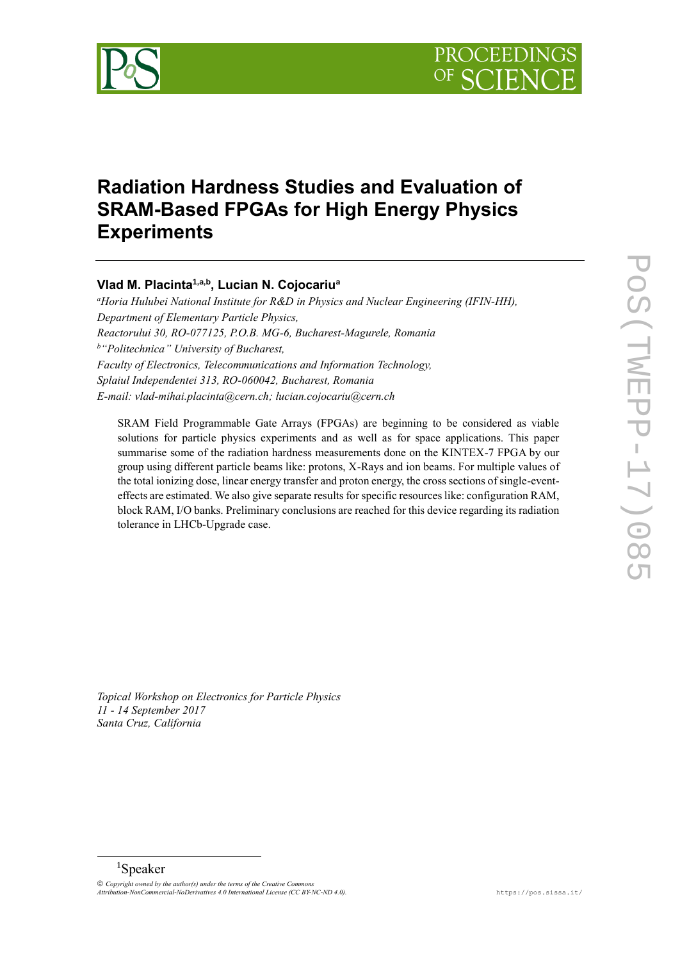

# **Radiation Hardness Studies and Evaluation of SRAM-Based FPGAs for High Energy Physics Experiments**

# **Vlad M. Placinta1,a,b, Lucian N. Cojocariu<sup>a</sup>**

*<sup>a</sup>Horia Hulubei National Institute for R&D in Physics and Nuclear Engineering (IFIN-HH), Department of Elementary Particle Physics, Reactorului 30, RO-077125, P.O.B. MG-6, Bucharest-Magurele, Romania <sup>b</sup>"Politechnica" University of Bucharest, Faculty of Electronics, Telecommunications and Information Technology, Splaiul Independentei 313, RO-060042, Bucharest, Romania E-mail: vlad-mihai.placinta@cern.ch; lucian.cojocariu@cern.ch*

SRAM Field Programmable Gate Arrays (FPGAs) are beginning to be considered as viable solutions for particle physics experiments and as well as for space applications. This paper summarise some of the radiation hardness measurements done on the KINTEX-7 FPGA by our group using different particle beams like: protons, X-Rays and ion beams. For multiple values of the total ionizing dose, linear energy transfer and proton energy, the cross sections of single-eventeffects are estimated. We also give separate results for specific resources like: configuration RAM, block RAM, I/O banks. Preliminary conclusions are reached for this device regarding its radiation tolerance in LHCb-Upgrade case.

*Topical Workshop on Electronics for Particle Physics 11 - 14 September 2017 Santa Cruz, California*

 $\overline{a}$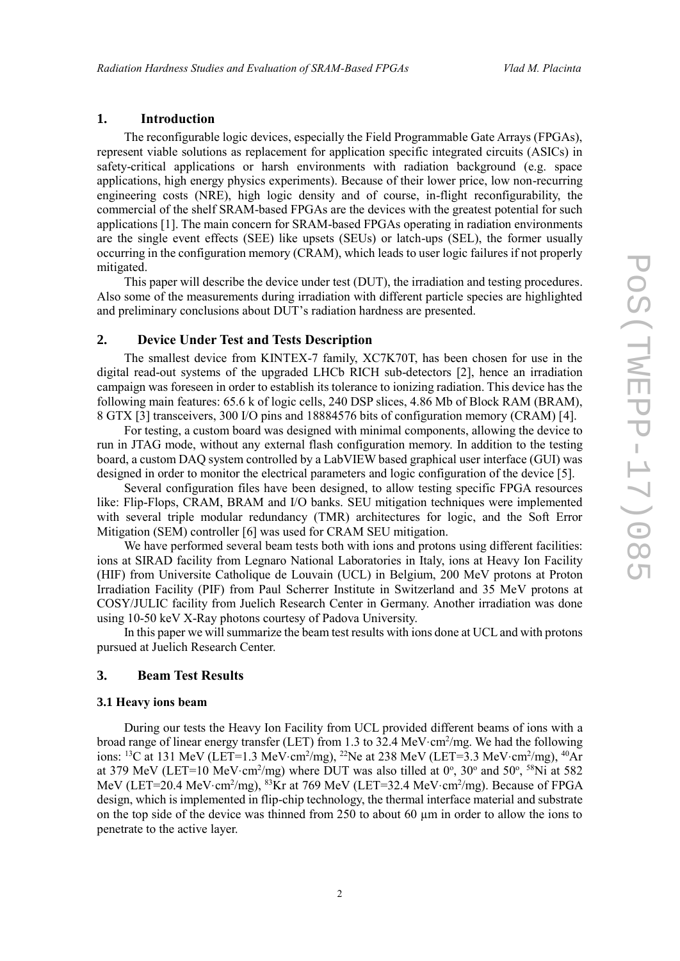# **1. Introduction**

The reconfigurable logic devices, especially the Field Programmable Gate Arrays (FPGAs), represent viable solutions as replacement for application specific integrated circuits (ASICs) in safety-critical applications or harsh environments with radiation background (e.g. space applications, high energy physics experiments). Because of their lower price, low non-recurring engineering costs (NRE), high logic density and of course, in-flight reconfigurability, the commercial of the shelf SRAM-based FPGAs are the devices with the greatest potential for such applications [1]. The main concern for SRAM-based FPGAs operating in radiation environments are the single event effects (SEE) like upsets (SEUs) or latch-ups (SEL), the former usually occurring in the configuration memory (CRAM), which leads to user logic failures if not properly mitigated.

This paper will describe the device under test (DUT), the irradiation and testing procedures. Also some of the measurements during irradiation with different particle species are highlighted and preliminary conclusions about DUT's radiation hardness are presented.

#### **2. Device Under Test and Tests Description**

The smallest device from KINTEX-7 family, XC7K70T, has been chosen for use in the digital read-out systems of the upgraded LHCb RICH sub-detectors [2], hence an irradiation campaign was foreseen in order to establish its tolerance to ionizing radiation. This device has the following main features: 65.6 k of logic cells, 240 DSP slices, 4.86 Mb of Block RAM (BRAM), 8 GTX [3] transceivers, 300 I/O pins and 18884576 bits of configuration memory (CRAM) [4].

For testing, a custom board was designed with minimal components, allowing the device to run in JTAG mode, without any external flash configuration memory. In addition to the testing board, a custom DAQ system controlled by a LabVIEW based graphical user interface (GUI) was designed in order to monitor the electrical parameters and logic configuration of the device [5].

Several configuration files have been designed, to allow testing specific FPGA resources like: Flip-Flops, CRAM, BRAM and I/O banks. SEU mitigation techniques were implemented with several triple modular redundancy (TMR) architectures for logic, and the Soft Error Mitigation (SEM) controller [6] was used for CRAM SEU mitigation.

We have performed several beam tests both with ions and protons using different facilities: ions at SIRAD facility from Legnaro National Laboratories in Italy, ions at Heavy Ion Facility (HIF) from Universite Catholique de Louvain (UCL) in Belgium, 200 MeV protons at Proton Irradiation Facility (PIF) from Paul Scherrer Institute in Switzerland and 35 MeV protons at COSY/JULIC facility from Juelich Research Center in Germany. Another irradiation was done using 10-50 keV X-Ray photons courtesy of Padova University.

In this paper we will summarize the beam test results with ions done at UCL and with protons pursued at Juelich Research Center.

### **3. Beam Test Results**

#### **3.1 Heavy ions beam**

During our tests the Heavy Ion Facility from UCL provided different beams of ions with a broad range of linear energy transfer (LET) from 1.3 to 32.4 MeV·cm<sup>2</sup>/mg. We had the following ions: <sup>13</sup>C at 131 MeV (LET=1.3 MeV·cm<sup>2</sup>/mg), <sup>22</sup>Ne at 238 MeV (LET=3.3 MeV·cm<sup>2</sup>/mg), <sup>40</sup>Ar at 379 MeV (LET=10 MeV·cm<sup>2</sup>/mg) where DUT was also tilled at  $0^\circ$ ,  $30^\circ$  and  $50^\circ$ ,  $5^\circ$ Ni at 582 MeV (LET=20.4 MeV·cm<sup>2</sup>/mg), <sup>83</sup>Kr at 769 MeV (LET=32.4 MeV·cm<sup>2</sup>/mg). Because of FPGA design, which is implemented in flip-chip technology, the thermal interface material and substrate on the top side of the device was thinned from 250 to about 60 µm in order to allow the ions to penetrate to the active layer.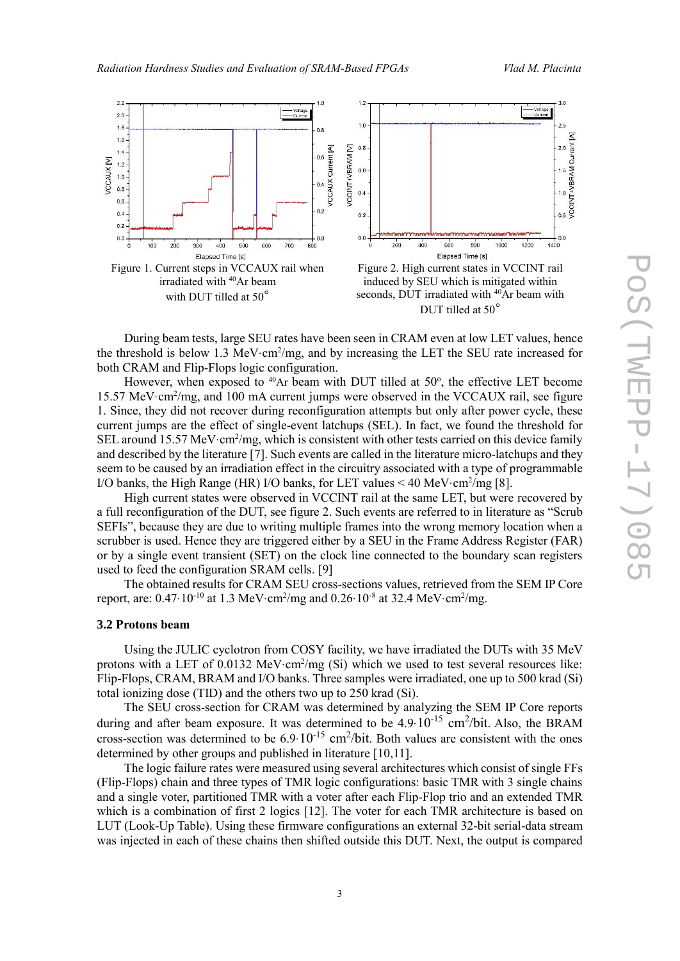

During beam tests, large SEU rates have been seen in CRAM even at low LET values, hence the threshold is below 1.3 MeV $\cdot$ cm<sup>2</sup>/mg, and by increasing the LET the SEU rate increased for both CRAM and Flip-Flops logic configuration.

However, when exposed to  $40Ar$  beam with DUT tilled at  $50^\circ$ , the effective LET become 15.57 MeV·cm<sup>2</sup> /mg, and 100 mA current jumps were observed in the VCCAUX rail, see figure 1. Since, they did not recover during reconfiguration attempts but only after power cycle, these current jumps are the effect of single-event latchups (SEL). In fact, we found the threshold for SEL around 15.57 MeV·cm<sup>2</sup>/mg, which is consistent with other tests carried on this device family and described by the literature [7]. Such events are called in the literature micro-latchups and they seem to be caused by an irradiation effect in the circuitry associated with a type of programmable I/O banks, the High Range (HR) I/O banks, for LET values < 40 MeV·cm<sup>2</sup>/mg [8].

High current states were observed in VCCINT rail at the same LET, but were recovered by a full reconfiguration of the DUT, see figure 2. Such events are referred to in literature as "Scrub SEFIs", because they are due to writing multiple frames into the wrong memory location when a scrubber is used. Hence they are triggered either by a SEU in the Frame Address Register (FAR) or by a single event transient (SET) on the clock line connected to the boundary scan registers used to feed the configuration SRAM cells. [9]

The obtained results for CRAM SEU cross-sections values, retrieved from the SEM IP Core report, are:  $0.47 \cdot 10^{-10}$  at 1.3 MeV $\cdot$ cm<sup>2</sup>/mg and 0.26 $\cdot 10^{-8}$  at 32.4 MeV $\cdot$ cm<sup>2</sup>/mg.

#### **3.2 Protons beam**

Using the JULIC cyclotron from COSY facility, we have irradiated the DUTs with 35 MeV protons with a LET of  $0.0132 \text{ MeV} \cdot \text{cm}^2/\text{mg}$  (Si) which we used to test several resources like: Flip-Flops, CRAM, BRAM and I/O banks. Three samples were irradiated, one up to 500 krad (Si) total ionizing dose (TID) and the others two up to 250 krad (Si).

The SEU cross-section for CRAM was determined by analyzing the SEM IP Core reports during and after beam exposure. It was determined to be  $4.9 \cdot 10^{-15}$  cm<sup>2</sup>/bit. Also, the BRAM cross-section was determined to be  $6.9 \cdot 10^{-15}$  cm<sup>2</sup>/bit. Both values are consistent with the ones determined by other groups and published in literature [10,11].

The logic failure rates were measured using several architectures which consist of single FFs (Flip-Flops) chain and three types of TMR logic configurations: basic TMR with 3 single chains and a single voter, partitioned TMR with a voter after each Flip-Flop trio and an extended TMR which is a combination of first 2 logics [12]. The voter for each TMR architecture is based on LUT (Look-Up Table). Using these firmware configurations an external 32-bit serial-data stream was injected in each of these chains then shifted outside this DUT. Next, the output is compared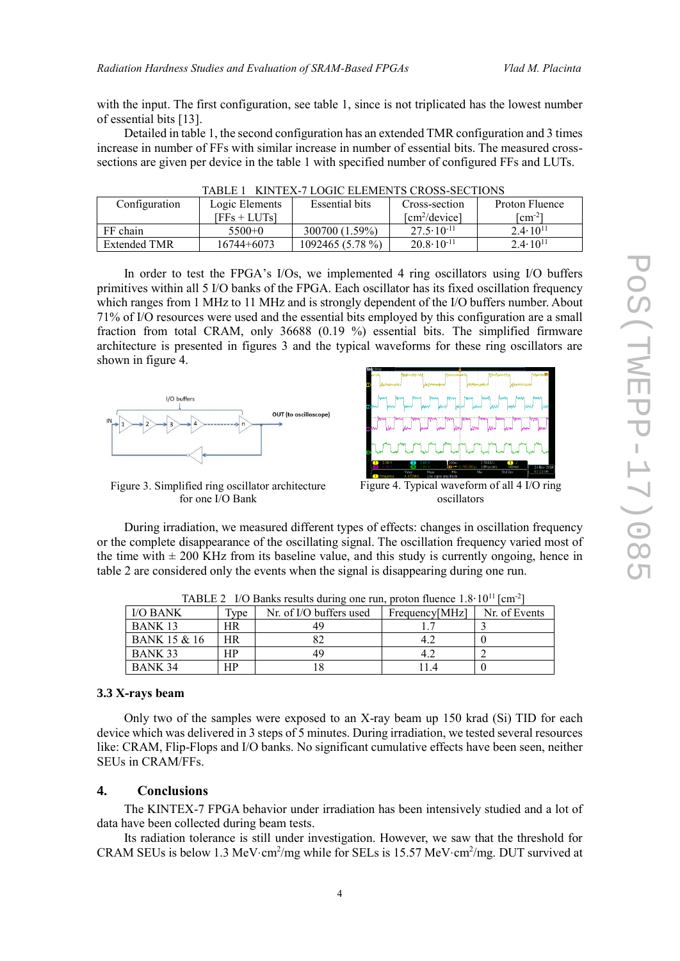with the input. The first configuration, see table 1, since is not triplicated has the lowest number of essential bits [13].

Detailed in table 1, the second configuration has an extended TMR configuration and 3 times increase in number of FFs with similar increase in number of essential bits. The measured crosssections are given per device in the table 1 with specified number of configured FFs and LUTs.

| Configuration | Logic Elements | Essential bits    | Cross-section          | Proton Fluence            |  |  |  |
|---------------|----------------|-------------------|------------------------|---------------------------|--|--|--|
|               | [FFs + LUTs]   |                   | $[cm^2/\text{device}]$ | $\lceil$ cm <sup>-2</sup> |  |  |  |
| FF chain      | $5500+0$       | 300700 (1.59%)    | $27.5 \cdot 10^{-11}$  | $2.4 \cdot 10^{11}$       |  |  |  |
| Extended TMR  | 16744+6073     | $1092465(5.78\%)$ | $20.8 \cdot 10^{-11}$  | $2.4 \cdot 10^{11}$       |  |  |  |

TABLE 1 KINTEX-7 LOGIC ELEMENTS CROSS-SECTIONS

In order to test the FPGA's I/Os, we implemented 4 ring oscillators using I/O buffers primitives within all 5 I/O banks of the FPGA. Each oscillator has its fixed oscillation frequency which ranges from 1 MHz to 11 MHz and is strongly dependent of the I/O buffers number. About 71% of I/O resources were used and the essential bits employed by this configuration are a small fraction from total CRAM, only 36688 (0.19 %) essential bits. The simplified firmware architecture is presented in figures 3 and the typical waveforms for these ring oscillators are shown in figure 4.



Figure 3. Simplified ring oscillator architecture for one I/O Bank



Figure 4. Typical waveform of all 4 I/O ring oscillators

During irradiation, we measured different types of effects: changes in oscillation frequency or the complete disappearance of the oscillating signal. The oscillation frequency varied most of the time with  $\pm 200$  KHz from its baseline value, and this study is currently ongoing, hence in table 2 are considered only the events when the signal is disappearing during one run.

| <b>I/O BANK</b>         | Type | Nr. of I/O buffers used | Frequency[MHz] | Nr. of Events |
|-------------------------|------|-------------------------|----------------|---------------|
| BANK 13                 | HR   | 49                      |                |               |
| <b>BANK 15 &amp; 16</b> | HR   |                         |                |               |
| BANK 33                 | ΗP   | 49                      |                |               |
| BANK 34                 | ΗP   |                         |                |               |

TABLE 2 I/O Banks results during one run, proton fluence  $1.8 \cdot 10^{11}$  [cm<sup>-2</sup>]

#### **3.3 X-rays beam**

Only two of the samples were exposed to an X-ray beam up 150 krad (Si) TID for each device which was delivered in 3 steps of 5 minutes. During irradiation, we tested several resources like: CRAM, Flip-Flops and I/O banks. No significant cumulative effects have been seen, neither SEUs in CRAM/FFs.

#### **4. Conclusions**

The KINTEX-7 FPGA behavior under irradiation has been intensively studied and a lot of data have been collected during beam tests.

Its radiation tolerance is still under investigation. However, we saw that the threshold for CRAM SEUs is below 1.3 MeV $\cdot$ cm<sup>2</sup>/mg while for SELs is 15.57 MeV $\cdot$ cm<sup>2</sup>/mg. DUT survived at